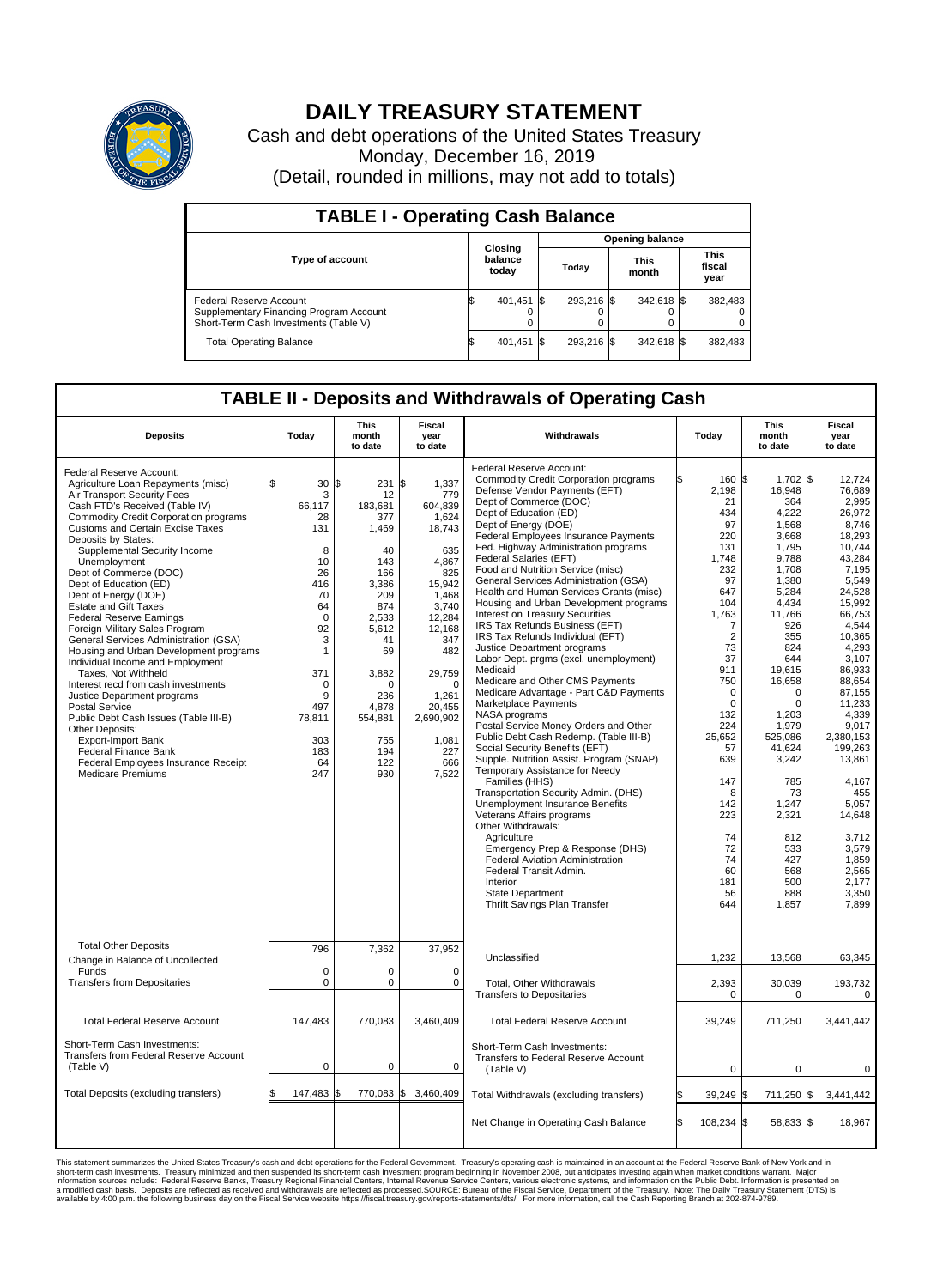

## **DAILY TREASURY STATEMENT**

Cash and debt operations of the United States Treasury Monday, December 16, 2019 (Detail, rounded in millions, may not add to totals)

| <b>TABLE I - Operating Cash Balance</b>                                                                     |  |                             |       |                        |                      |            |                               |         |  |  |  |
|-------------------------------------------------------------------------------------------------------------|--|-----------------------------|-------|------------------------|----------------------|------------|-------------------------------|---------|--|--|--|
|                                                                                                             |  |                             |       | <b>Opening balance</b> |                      |            |                               |         |  |  |  |
| Type of account                                                                                             |  | Closing<br>balance<br>today | Today |                        | <b>This</b><br>month |            | <b>This</b><br>fiscal<br>year |         |  |  |  |
| Federal Reserve Account<br>Supplementary Financing Program Account<br>Short-Term Cash Investments (Table V) |  | 401,451 \$                  |       | 293.216 \$             |                      | 342,618 \$ |                               | 382,483 |  |  |  |
| <b>Total Operating Balance</b>                                                                              |  | 401,451 \$                  |       | 293.216 \$             |                      | 342,618 \$ |                               | 382,483 |  |  |  |

## **TABLE II - Deposits and Withdrawals of Operating Cash**

| <b>Deposits</b>                                                                                                                                                                                                                                                                                                                                                                                                                                                                                                                                                                                                                                                                                                                                                                                                                                                                                                     | Today                                                                                                                                                                       | <b>This</b><br>month<br>to date                                                                                                                                                                 | Fiscal<br>year<br>to date                                                                                                                                                                                                         | Withdrawals                                                                                                                                                                                                                                                                                                                                                                                                                                                                                                                                                                                                                                                                                                                                                                                                                                                                                                                                                                                                                                                                                                                                                                                                                                                                                                                     | Today                                                                                                                                                                                                                                                                                | <b>This</b><br>month<br>to date                                                                                                                                                                                                                                                                                                      | Fiscal<br>year<br>to date                                                                                                                                                                                                                                                                                                                                     |  |
|---------------------------------------------------------------------------------------------------------------------------------------------------------------------------------------------------------------------------------------------------------------------------------------------------------------------------------------------------------------------------------------------------------------------------------------------------------------------------------------------------------------------------------------------------------------------------------------------------------------------------------------------------------------------------------------------------------------------------------------------------------------------------------------------------------------------------------------------------------------------------------------------------------------------|-----------------------------------------------------------------------------------------------------------------------------------------------------------------------------|-------------------------------------------------------------------------------------------------------------------------------------------------------------------------------------------------|-----------------------------------------------------------------------------------------------------------------------------------------------------------------------------------------------------------------------------------|---------------------------------------------------------------------------------------------------------------------------------------------------------------------------------------------------------------------------------------------------------------------------------------------------------------------------------------------------------------------------------------------------------------------------------------------------------------------------------------------------------------------------------------------------------------------------------------------------------------------------------------------------------------------------------------------------------------------------------------------------------------------------------------------------------------------------------------------------------------------------------------------------------------------------------------------------------------------------------------------------------------------------------------------------------------------------------------------------------------------------------------------------------------------------------------------------------------------------------------------------------------------------------------------------------------------------------|--------------------------------------------------------------------------------------------------------------------------------------------------------------------------------------------------------------------------------------------------------------------------------------|--------------------------------------------------------------------------------------------------------------------------------------------------------------------------------------------------------------------------------------------------------------------------------------------------------------------------------------|---------------------------------------------------------------------------------------------------------------------------------------------------------------------------------------------------------------------------------------------------------------------------------------------------------------------------------------------------------------|--|
| Federal Reserve Account:<br>Agriculture Loan Repayments (misc)<br>Air Transport Security Fees<br>Cash FTD's Received (Table IV)<br><b>Commodity Credit Corporation programs</b><br><b>Customs and Certain Excise Taxes</b><br>Deposits by States:<br>Supplemental Security Income<br>Unemployment<br>Dept of Commerce (DOC)<br>Dept of Education (ED)<br>Dept of Energy (DOE)<br><b>Estate and Gift Taxes</b><br><b>Federal Reserve Earnings</b><br>Foreign Military Sales Program<br>General Services Administration (GSA)<br>Housing and Urban Development programs<br>Individual Income and Employment<br>Taxes. Not Withheld<br>Interest recd from cash investments<br>Justice Department programs<br><b>Postal Service</b><br>Public Debt Cash Issues (Table III-B)<br>Other Deposits:<br><b>Export-Import Bank</b><br>Federal Finance Bank<br>Federal Employees Insurance Receipt<br><b>Medicare Premiums</b> | \$<br>30<br>3<br>66,117<br>28<br>131<br>8<br>10<br>26<br>416<br>70<br>64<br>$\mathbf 0$<br>92<br>3<br>1<br>371<br>$\Omega$<br>9<br>497<br>78,811<br>303<br>183<br>64<br>247 | \$<br>231<br>12<br>183,681<br>377<br>1,469<br>40<br>143<br>166<br>3,386<br>209<br>874<br>2,533<br>5.612<br>41<br>69<br>3,882<br>$\Omega$<br>236<br>4,878<br>554,881<br>755<br>194<br>122<br>930 | <b>S</b><br>1,337<br>779<br>604,839<br>1,624<br>18,743<br>635<br>4.867<br>825<br>15,942<br>1,468<br>3,740<br>12,284<br>12,168<br>347<br>482<br>29,759<br>$\Omega$<br>1,261<br>20,455<br>2,690,902<br>1,081<br>227<br>666<br>7,522 | Federal Reserve Account:<br><b>Commodity Credit Corporation programs</b><br>Defense Vendor Payments (EFT)<br>Dept of Commerce (DOC)<br>Dept of Education (ED)<br>Dept of Energy (DOE)<br>Federal Employees Insurance Payments<br>Fed. Highway Administration programs<br>Federal Salaries (EFT)<br>Food and Nutrition Service (misc)<br>General Services Administration (GSA)<br>Health and Human Services Grants (misc)<br>Housing and Urban Development programs<br>Interest on Treasury Securities<br>IRS Tax Refunds Business (EFT)<br>IRS Tax Refunds Individual (EFT)<br>Justice Department programs<br>Labor Dept. prgms (excl. unemployment)<br>Medicaid<br>Medicare and Other CMS Payments<br>Medicare Advantage - Part C&D Payments<br>Marketplace Payments<br>NASA programs<br>Postal Service Money Orders and Other<br>Public Debt Cash Redemp. (Table III-B)<br>Social Security Benefits (EFT)<br>Supple. Nutrition Assist. Program (SNAP)<br>Temporary Assistance for Needy<br>Families (HHS)<br>Transportation Security Admin. (DHS)<br>Unemployment Insurance Benefits<br>Veterans Affairs programs<br>Other Withdrawals:<br>Agriculture<br>Emergency Prep & Response (DHS)<br>Federal Aviation Administration<br>Federal Transit Admin.<br>Interior<br><b>State Department</b><br>Thrift Savings Plan Transfer | 160 \$<br>2.198<br>21<br>434<br>97<br>220<br>131<br>1,748<br>232<br>97<br>647<br>104<br>1,763<br>7<br>$\overline{2}$<br>73<br>37<br>911<br>750<br>$\mathbf 0$<br>$\Omega$<br>132<br>224<br>25.652<br>57<br>639<br>147<br>8<br>142<br>223<br>74<br>72<br>74<br>60<br>181<br>56<br>644 | 1,702 \$<br>16,948<br>364<br>4,222<br>1,568<br>3,668<br>1,795<br>9,788<br>1,708<br>1,380<br>5,284<br>4,434<br>11,766<br>926<br>355<br>824<br>644<br>19,615<br>16,658<br>$\mathbf 0$<br>$\mathbf 0$<br>1,203<br>1,979<br>525.086<br>41,624<br>3,242<br>785<br>73<br>1,247<br>2,321<br>812<br>533<br>427<br>568<br>500<br>888<br>1,857 | 12.724<br>76.689<br>2,995<br>26,972<br>8,746<br>18.293<br>10,744<br>43,284<br>7.195<br>5,549<br>24,528<br>15,992<br>66.753<br>4,544<br>10,365<br>4,293<br>3,107<br>86,933<br>88,654<br>87,155<br>11,233<br>4,339<br>9.017<br>2.380.153<br>199,263<br>13,861<br>4,167<br>455<br>5,057<br>14,648<br>3,712<br>3,579<br>1,859<br>2,565<br>2,177<br>3.350<br>7,899 |  |
| <b>Total Other Deposits</b><br>Change in Balance of Uncollected<br>Funds<br><b>Transfers from Depositaries</b>                                                                                                                                                                                                                                                                                                                                                                                                                                                                                                                                                                                                                                                                                                                                                                                                      | 796<br>$\mathbf 0$<br>$\Omega$                                                                                                                                              | 7,362<br>$\mathbf 0$<br>$\Omega$                                                                                                                                                                | 37,952<br>$\mathbf 0$<br>0                                                                                                                                                                                                        | Unclassified<br>Total, Other Withdrawals<br><b>Transfers to Depositaries</b>                                                                                                                                                                                                                                                                                                                                                                                                                                                                                                                                                                                                                                                                                                                                                                                                                                                                                                                                                                                                                                                                                                                                                                                                                                                    | 1,232<br>2,393<br>0                                                                                                                                                                                                                                                                  | 13,568<br>30,039<br>$\mathbf 0$                                                                                                                                                                                                                                                                                                      | 63,345<br>193,732<br>0                                                                                                                                                                                                                                                                                                                                        |  |
| <b>Total Federal Reserve Account</b>                                                                                                                                                                                                                                                                                                                                                                                                                                                                                                                                                                                                                                                                                                                                                                                                                                                                                | 147,483                                                                                                                                                                     | 770,083                                                                                                                                                                                         | 3,460,409                                                                                                                                                                                                                         | <b>Total Federal Reserve Account</b>                                                                                                                                                                                                                                                                                                                                                                                                                                                                                                                                                                                                                                                                                                                                                                                                                                                                                                                                                                                                                                                                                                                                                                                                                                                                                            | 39,249                                                                                                                                                                                                                                                                               | 711,250                                                                                                                                                                                                                                                                                                                              | 3,441,442                                                                                                                                                                                                                                                                                                                                                     |  |
| Short-Term Cash Investments:<br>Transfers from Federal Reserve Account<br>(Table V)                                                                                                                                                                                                                                                                                                                                                                                                                                                                                                                                                                                                                                                                                                                                                                                                                                 | $\mathbf 0$                                                                                                                                                                 | $\mathbf 0$                                                                                                                                                                                     | $\mathbf 0$                                                                                                                                                                                                                       | Short-Term Cash Investments:<br>Transfers to Federal Reserve Account<br>(Table V)                                                                                                                                                                                                                                                                                                                                                                                                                                                                                                                                                                                                                                                                                                                                                                                                                                                                                                                                                                                                                                                                                                                                                                                                                                               | $\mathbf 0$                                                                                                                                                                                                                                                                          | 0                                                                                                                                                                                                                                                                                                                                    | 0                                                                                                                                                                                                                                                                                                                                                             |  |
| Total Deposits (excluding transfers)                                                                                                                                                                                                                                                                                                                                                                                                                                                                                                                                                                                                                                                                                                                                                                                                                                                                                | 147,483 \$                                                                                                                                                                  | 770,083 \$                                                                                                                                                                                      | 3,460,409                                                                                                                                                                                                                         | Total Withdrawals (excluding transfers)                                                                                                                                                                                                                                                                                                                                                                                                                                                                                                                                                                                                                                                                                                                                                                                                                                                                                                                                                                                                                                                                                                                                                                                                                                                                                         | 39,249                                                                                                                                                                                                                                                                               | 711,250                                                                                                                                                                                                                                                                                                                              | 3,441,442<br>l\$                                                                                                                                                                                                                                                                                                                                              |  |
|                                                                                                                                                                                                                                                                                                                                                                                                                                                                                                                                                                                                                                                                                                                                                                                                                                                                                                                     |                                                                                                                                                                             |                                                                                                                                                                                                 |                                                                                                                                                                                                                                   | Net Change in Operating Cash Balance                                                                                                                                                                                                                                                                                                                                                                                                                                                                                                                                                                                                                                                                                                                                                                                                                                                                                                                                                                                                                                                                                                                                                                                                                                                                                            | \$.<br>108,234 \$                                                                                                                                                                                                                                                                    | 58.833 \$                                                                                                                                                                                                                                                                                                                            | 18.967                                                                                                                                                                                                                                                                                                                                                        |  |

This statement summarizes the United States Treasury's cash and debt operations for the Federal Government. Treasury operating in November 2008, but anticingates investing again when market conditions warrant. Major York a